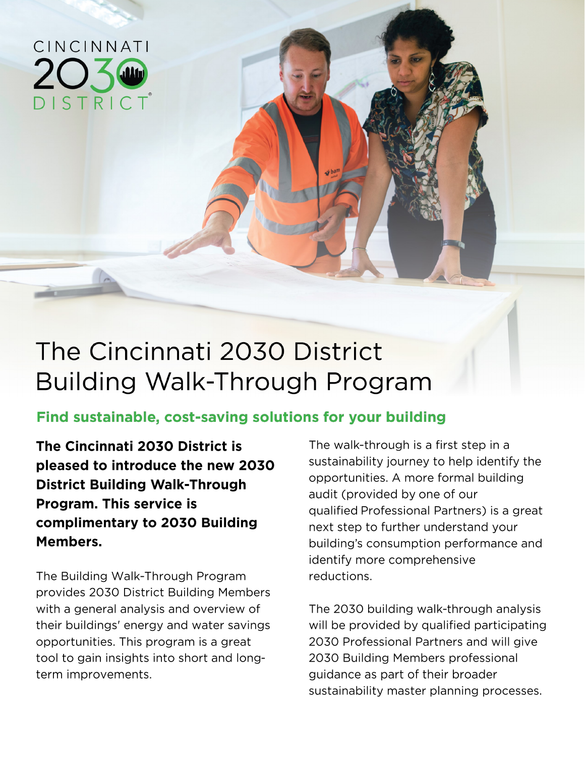

# The Cincinnati 2030 District **Building Walk-Through Program**

## Find sustainable, cost-saving solutions for your building

The Cincinnati 2030 District is pleased to introduce the new 2030 **District Building Walk-Through Program. This service is** complimentary to 2030 Building Members.

The Building Walk-Through Program provides 2030 District Building Members with a general analysis and overview of their buildings' energy and water savings opportunities. This program is a great tool to gain insights into short and longterm improvements.

The walk-through is a first step in a sustainability journey to help identify the opportunities. A more formal building audit (provided by one of our qualified Professional Partners) is a great next step to further understand your building's consumption performance and identify more comprehensive reductions.

The 2030 building walk-through analysis will be provided by qualified participating 2030 Professional Partners and will give 2030 Building Members professional quidance as part of their broader sustainability master planning processes.